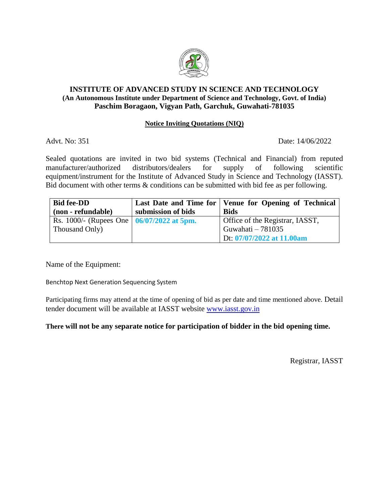

## **INSTITUTE OF ADVANCED STUDY IN SCIENCE AND TECHNOLOGY (An Autonomous Institute under Department of Science and Technology, Govt. of India) Paschim Boragaon, Vigyan Path, Garchuk, Guwahati-781035**

## **Notice Inviting Quotations (NIQ)**

Advt. No: 351 Date: 14/06/2022

Sealed quotations are invited in two bid systems (Technical and Financial) from reputed manufacturer/authorized distributors/dealers for supply of following scientific equipment/instrument for the Institute of Advanced Study in Science and Technology (IASST). Bid document with other terms & conditions can be submitted with bid fee as per following.

| <b>Bid fee-DD</b>                                 |                    | Last Date and Time for   Venue for Opening of Technical |
|---------------------------------------------------|--------------------|---------------------------------------------------------|
| (non - refundable)                                | submission of bids | <b>Bids</b>                                             |
| Rs. 1000/- (Rupees One $\vert 06/07/2022$ at 5pm. |                    | Office of the Registrar, IASST,                         |
| Thousand Only)                                    |                    | Guwahati – 781035                                       |
|                                                   |                    | Dt: 07/07/2022 at 11.00am                               |

Name of the Equipment:

Benchtop Next Generation Sequencing System

Participating firms may attend at the time of opening of bid as per date and time mentioned above. Detail tender document will be available at IASST website [www.iasst.gov.in](http://www.iasst.gov.in/)

## **There will not be any separate notice for participation of bidder in the bid opening time.**

Registrar, IASST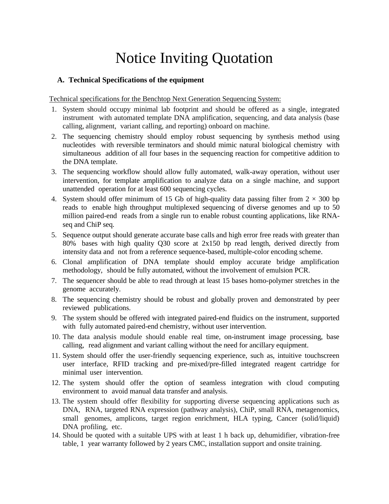# Notice Inviting Quotation

## **A. Technical Specifications of the equipment**

Technical specifications for the Benchtop Next Generation Sequencing System:

- 1. System should occupy minimal lab footprint and should be offered as a single, integrated instrument with automated template DNA amplification, sequencing, and data analysis (base calling, alignment, variant calling, and reporting) onboard on machine.
- 2. The sequencing chemistry should employ robust sequencing by synthesis method using nucleotides with reversible terminators and should mimic natural biological chemistry with simultaneous addition of all four bases in the sequencing reaction for competitive addition to the DNA template.
- 3. The sequencing workflow should allow fully automated, walk-away operation, without user intervention, for template amplification to analyze data on a single machine, and support unattended operation for at least 600 sequencing cycles.
- 4. System should offer minimum of 15 Gb of high-quality data passing filter from  $2 \times 300$  bp reads to enable high throughput multiplexed sequencing of diverse genomes and up to 50 million paired-end reads from a single run to enable robust counting applications, like RNAseq and ChiP seq.
- 5. Sequence output should generate accurate base calls and high error free reads with greater than 80% bases with high quality Q30 score at 2x150 bp read length, derived directly from intensity data and not from a reference sequence-based, multiple-color encoding scheme.
- 6. Clonal amplification of DNA template should employ accurate bridge amplification methodology, should be fully automated, without the involvement of emulsion PCR.
- 7. The sequencer should be able to read through at least 15 bases homo-polymer stretches in the genome accurately.
- 8. The sequencing chemistry should be robust and globally proven and demonstrated by peer reviewed publications.
- 9. The system should be offered with integrated paired-end fluidics on the instrument, supported with fully automated paired-end chemistry, without user intervention.
- 10. The data analysis module should enable real time, on-instrument image processing, base calling, read alignment and variant calling without the need for ancillary equipment.
- 11. System should offer the user-friendly sequencing experience, such as, intuitive touchscreen user interface, RFID tracking and pre-mixed/pre-filled integrated reagent cartridge for minimal user intervention.
- 12. The system should offer the option of seamless integration with cloud computing environment to avoid manual data transfer and analysis.
- 13. The system should offer flexibility for supporting diverse sequencing applications such as DNA, RNA, targeted RNA expression (pathway analysis), ChiP, small RNA, metagenomics, small genomes, amplicons, target region enrichment, HLA typing, Cancer (solid/liquid) DNA profiling, etc.
- 14. Should be quoted with a suitable UPS with at least 1 h back up, dehumidifier, vibration-free table, 1 year warranty followed by 2 years CMC, installation support and onsite training.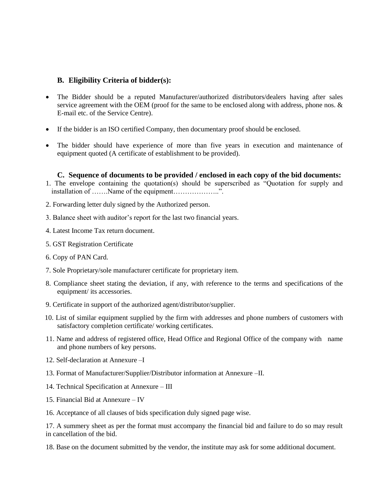## **B. Eligibility Criteria of bidder(s):**

- The Bidder should be a reputed Manufacturer/authorized distributors/dealers having after sales service agreement with the OEM (proof for the same to be enclosed along with address, phone nos. & E-mail etc. of the Service Centre).
- If the bidder is an ISO certified Company, then documentary proof should be enclosed.
- The bidder should have experience of more than five years in execution and maintenance of equipment quoted (A certificate of establishment to be provided).

#### **C. Sequence of documents to be provided / enclosed in each copy of the bid documents:**

- 1. The envelope containing the quotation(s) should be superscribed as "Quotation for supply and installation of …….Name of the equipment………………..".
- 2. Forwarding letter duly signed by the Authorized person.
- 3. Balance sheet with auditor's report for the last two financial years.
- 4. Latest Income Tax return document.
- 5. GST Registration Certificate
- 6. Copy of PAN Card.
- 7. Sole Proprietary/sole manufacturer certificate for proprietary item.
- 8. Compliance sheet stating the deviation, if any, with reference to the terms and specifications of the equipment/ its accessories.
- 9. Certificate in support of the authorized agent/distributor/supplier.
- 10. List of similar equipment supplied by the firm with addresses and phone numbers of customers with satisfactory completion certificate/ working certificates.
- 11. Name and address of registered office, Head Office and Regional Office of the company with name and phone numbers of key persons.
- 12. Self-declaration at Annexure –I
- 13. Format of Manufacturer/Supplier/Distributor information at Annexure –II.
- 14. Technical Specification at Annexure III
- 15. Financial Bid at Annexure IV

16. Acceptance of all clauses of bids specification duly signed page wise.

17. A summery sheet as per the format must accompany the financial bid and failure to do so may result in cancellation of the bid.

18. Base on the document submitted by the vendor, the institute may ask for some additional document.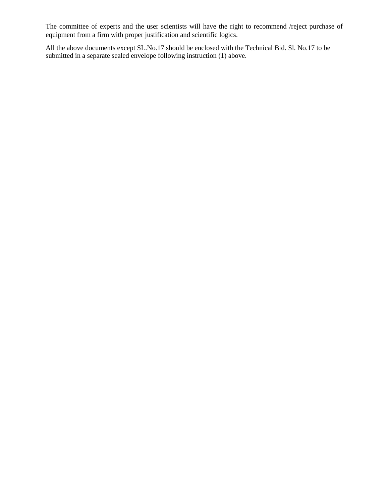The committee of experts and the user scientists will have the right to recommend /reject purchase of equipment from a firm with proper justification and scientific logics.

All the above documents except SL.No.17 should be enclosed with the Technical Bid. Sl. No.17 to be submitted in a separate sealed envelope following instruction (1) above.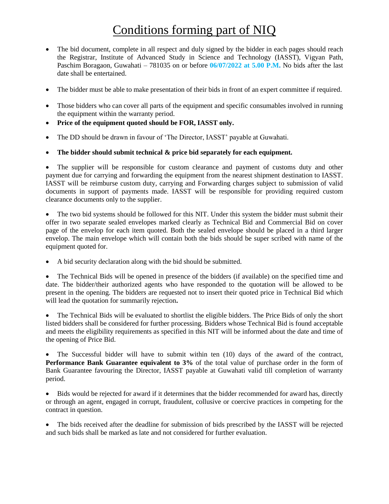## Conditions forming part of NIQ

- The bid document, complete in all respect and duly signed by the bidder in each pages should reach the Registrar, Institute of Advanced Study in Science and Technology (IASST), Vigyan Path, Paschim Boragaon, Guwahati – 781035 on or before **06/07/2022 at 5.00 P.M.** No bids after the last date shall be entertained.
- The bidder must be able to make presentation of their bids in front of an expert committee if required.
- Those bidders who can cover all parts of the equipment and specific consumables involved in running the equipment within the warranty period.
- **Price of the equipment quoted should be FOR, IASST only.**
- The DD should be drawn in favour of 'The Director, IASST' payable at Guwahati.
- **The bidder should submit technical & price bid separately for each equipment.**

 The supplier will be responsible for custom clearance and payment of customs duty and other payment due for carrying and forwarding the equipment from the nearest shipment destination to IASST. IASST will be reimburse custom duty, carrying and Forwarding charges subject to submission of valid documents in support of payments made. IASST will be responsible for providing required custom clearance documents only to the supplier.

 The two bid systems should be followed for this NIT. Under this system the bidder must submit their offer in two separate sealed envelopes marked clearly as Technical Bid and Commercial Bid on cover page of the envelop for each item quoted. Both the sealed envelope should be placed in a third larger envelop. The main envelope which will contain both the bids should be super scribed with name of the equipment quoted for.

A bid security declaration along with the bid should be submitted.

 The Technical Bids will be opened in presence of the bidders (if available) on the specified time and date. The bidder/their authorized agents who have responded to the quotation will be allowed to be present in the opening. The bidders are requested not to insert their quoted price in Technical Bid which will lead the quotation for summarily rejection**.**

 The Technical Bids will be evaluated to shortlist the eligible bidders. The Price Bids of only the short listed bidders shall be considered for further processing. Bidders whose Technical Bid is found acceptable and meets the eligibility requirements as specified in this NIT will be informed about the date and time of the opening of Price Bid.

 The Successful bidder will have to submit within ten (10) days of the award of the contract, **Performance Bank Guarantee equivalent to 3%** of the total value of purchase order in the form of Bank Guarantee favouring the Director, IASST payable at Guwahati valid till completion of warranty period.

• Bids would be rejected for award if it determines that the bidder recommended for award has, directly or through an agent, engaged in corrupt, fraudulent, collusive or coercive practices in competing for the contract in question.

 The bids received after the deadline for submission of bids prescribed by the IASST will be rejected and such bids shall be marked as late and not considered for further evaluation.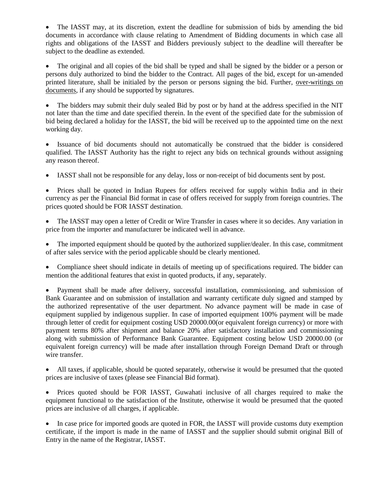The IASST may, at its discretion, extent the deadline for submission of bids by amending the bid documents in accordance with clause relating to Amendment of Bidding documents in which case all rights and obligations of the IASST and Bidders previously subject to the deadline will thereafter be subject to the deadline as extended.

 The original and all copies of the bid shall be typed and shall be signed by the bidder or a person or persons duly authorized to bind the bidder to the Contract. All pages of the bid, except for un-amended printed literature, shall be initialed by the person or persons signing the bid. Further, over-writings on documents, if any should be supported by signatures.

 The bidders may submit their duly sealed Bid by post or by hand at the address specified in the NIT not later than the time and date specified therein. In the event of the specified date for the submission of bid being declared a holiday for the IASST, the bid will be received up to the appointed time on the next working day.

 Issuance of bid documents should not automatically be construed that the bidder is considered qualified. The IASST Authority has the right to reject any bids on technical grounds without assigning any reason thereof.

IASST shall not be responsible for any delay, loss or non-receipt of bid documents sent by post.

• Prices shall be quoted in Indian Rupees for offers received for supply within India and in their currency as per the Financial Bid format in case of offers received for supply from foreign countries. The prices quoted should be FOR IASST destination.

 The IASST may open a letter of Credit or Wire Transfer in cases where it so decides. Any variation in price from the importer and manufacturer be indicated well in advance.

 The imported equipment should be quoted by the authorized supplier/dealer. In this case, commitment of after sales service with the period applicable should be clearly mentioned.

 Compliance sheet should indicate in details of meeting up of specifications required. The bidder can mention the additional features that exist in quoted products, if any, separately.

 Payment shall be made after delivery, successful installation, commissioning, and submission of Bank Guarantee and on submission of installation and warranty certificate duly signed and stamped by the authorized representative of the user department. No advance payment will be made in case of equipment supplied by indigenous supplier. In case of imported equipment 100% payment will be made through letter of credit for equipment costing USD 20000.00(or equivalent foreign currency) or more with payment terms 80% after shipment and balance 20% after satisfactory installation and commissioning along with submission of Performance Bank Guarantee. Equipment costing below USD 20000.00 (or equivalent foreign currency) will be made after installation through Foreign Demand Draft or through wire transfer.

 All taxes, if applicable, should be quoted separately, otherwise it would be presumed that the quoted prices are inclusive of taxes (please see Financial Bid format).

 Prices quoted should be FOR IASST, Guwahati inclusive of all charges required to make the equipment functional to the satisfaction of the Institute, otherwise it would be presumed that the quoted prices are inclusive of all charges, if applicable.

• In case price for imported goods are quoted in FOR, the IASST will provide customs duty exemption certificate, if the import is made in the name of IASST and the supplier should submit original Bill of Entry in the name of the Registrar, IASST.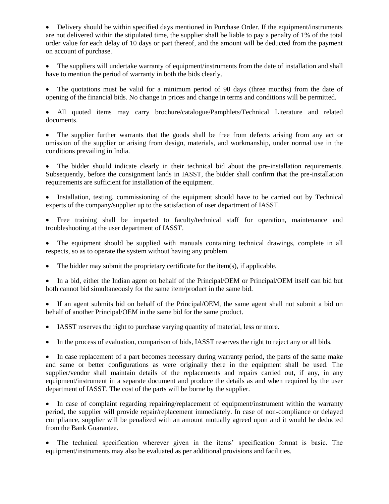Delivery should be within specified days mentioned in Purchase Order. If the equipment/instruments are not delivered within the stipulated time, the supplier shall be liable to pay a penalty of 1% of the total order value for each delay of 10 days or part thereof, and the amount will be deducted from the payment on account of purchase.

 The suppliers will undertake warranty of equipment/instruments from the date of installation and shall have to mention the period of warranty in both the bids clearly.

 The quotations must be valid for a minimum period of 90 days (three months) from the date of opening of the financial bids. No change in prices and change in terms and conditions will be permitted.

 All quoted items may carry brochure/catalogue/Pamphlets/Technical Literature and related documents.

 The supplier further warrants that the goods shall be free from defects arising from any act or omission of the supplier or arising from design, materials, and workmanship, under normal use in the conditions prevailing in India.

 The bidder should indicate clearly in their technical bid about the pre-installation requirements. Subsequently, before the consignment lands in IASST, the bidder shall confirm that the pre-installation requirements are sufficient for installation of the equipment.

 Installation, testing, commissioning of the equipment should have to be carried out by Technical experts of the company/supplier up to the satisfaction of user department of IASST.

 Free training shall be imparted to faculty/technical staff for operation, maintenance and troubleshooting at the user department of IASST.

 The equipment should be supplied with manuals containing technical drawings, complete in all respects, so as to operate the system without having any problem.

The bidder may submit the proprietary certificate for the item(s), if applicable.

 In a bid, either the Indian agent on behalf of the Principal/OEM or Principal/OEM itself can bid but both cannot bid simultaneously for the same item/product in the same bid.

 If an agent submits bid on behalf of the Principal/OEM, the same agent shall not submit a bid on behalf of another Principal/OEM in the same bid for the same product.

IASST reserves the right to purchase varying quantity of material, less or more.

In the process of evaluation, comparison of bids, IASST reserves the right to reject any or all bids.

• In case replacement of a part becomes necessary during warranty period, the parts of the same make and same or better configurations as were originally there in the equipment shall be used. The supplier/vendor shall maintain details of the replacements and repairs carried out, if any, in any equipment/instrument in a separate document and produce the details as and when required by the user department of IASST. The cost of the parts will be borne by the supplier.

• In case of complaint regarding repairing/replacement of equipment/instrument within the warranty period, the supplier will provide repair/replacement immediately. In case of non-compliance or delayed compliance, supplier will be penalized with an amount mutually agreed upon and it would be deducted from the Bank Guarantee.

 The technical specification wherever given in the items' specification format is basic. The equipment/instruments may also be evaluated as per additional provisions and facilities.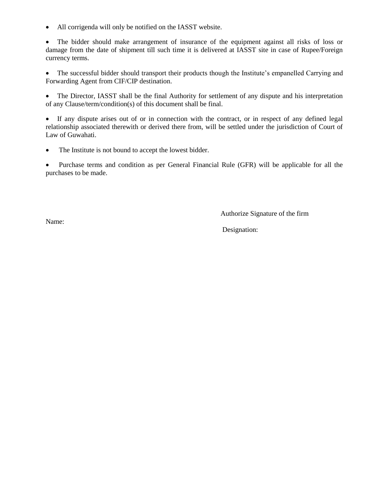All corrigenda will only be notified on the IASST website.

 The bidder should make arrangement of insurance of the equipment against all risks of loss or damage from the date of shipment till such time it is delivered at IASST site in case of Rupee/Foreign currency terms.

• The successful bidder should transport their products though the Institute's empanelled Carrying and Forwarding Agent from CIF/CIP destination.

• The Director, IASST shall be the final Authority for settlement of any dispute and his interpretation of any Clause/term/condition(s) of this document shall be final.

 If any dispute arises out of or in connection with the contract, or in respect of any defined legal relationship associated therewith or derived there from, will be settled under the jurisdiction of Court of Law of Guwahati.

• The Institute is not bound to accept the lowest bidder.

 Purchase terms and condition as per General Financial Rule (GFR) will be applicable for all the purchases to be made.

Authorize Signature of the firm

Name:

Designation: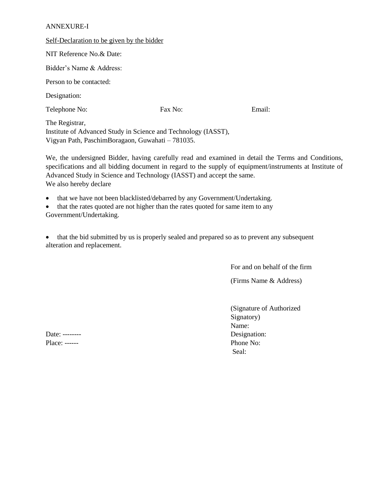#### ANNEXURE-I

| Self-Declaration to be given by the bidder                                       |         |        |
|----------------------------------------------------------------------------------|---------|--------|
| NIT Reference No.& Date:                                                         |         |        |
| Bidder's Name & Address:                                                         |         |        |
| Person to be contacted:                                                          |         |        |
| Designation:                                                                     |         |        |
| Telephone No:                                                                    | Fax No: | Email: |
| The Registrar,<br>Institute of Advanced Study in Science and Technology (IASST), |         |        |
| Vigyan Path, PaschimBoragaon, Guwahati – 781035.                                 |         |        |

We, the undersigned Bidder, having carefully read and examined in detail the Terms and Conditions, specifications and all bidding document in regard to the supply of equipment/instruments at Institute of Advanced Study in Science and Technology (IASST) and accept the same. We also hereby declare

- that we have not been blacklisted/debarred by any Government/Undertaking.
- that the rates quoted are not higher than the rates quoted for same item to any Government/Undertaking.
- 

• that the bid submitted by us is properly sealed and prepared so as to prevent any subsequent alteration and replacement.

For and on behalf of the firm

(Firms Name & Address)

(Signature of Authorized Signatory) Name: Seal:

Date: -------- Designation: Place: ------ Phone No: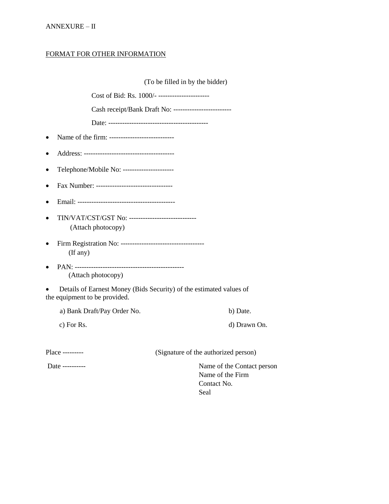## ANNEXURE – II

## FORMAT FOR OTHER INFORMATION

|                                                                                       | (To be filled in by the bidder)                                       |
|---------------------------------------------------------------------------------------|-----------------------------------------------------------------------|
|                                                                                       | Cost of Bid: Rs. 1000/- ----------------------                        |
|                                                                                       | Cash receipt/Bank Draft No: -------------------------                 |
|                                                                                       |                                                                       |
| Name of the firm: ----------------------------<br>$\bullet$                           |                                                                       |
| $\bullet$                                                                             |                                                                       |
| Telephone/Mobile No: ---------------------<br>$\bullet$                               |                                                                       |
| Fax Number: ----------------------------------<br>$\bullet$                           |                                                                       |
| $\bullet$                                                                             |                                                                       |
| TIN/VAT/CST/GST No: ------------------------------<br>$\bullet$<br>(Attach photocopy) |                                                                       |
| (If any)                                                                              |                                                                       |
| $\bullet$<br>(Attach photocopy)                                                       |                                                                       |
| the equipment to be provided.                                                         | Details of Earnest Money (Bids Security) of the estimated values of   |
| a) Bank Draft/Pay Order No.                                                           | b) Date.                                                              |
| c) For Rs.                                                                            | d) Drawn On.                                                          |
| Place ---------                                                                       | (Signature of the authorized person)                                  |
| Date ---------                                                                        | Name of the Contact person<br>Name of the Firm<br>Contact No.<br>Seal |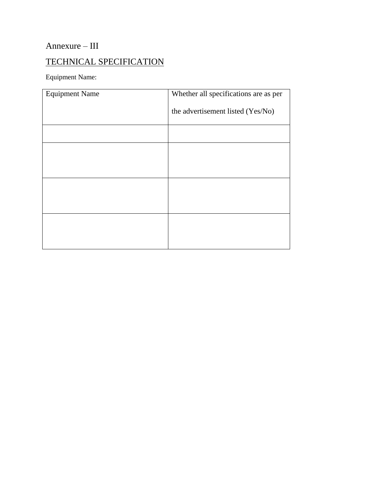## Annexure – III

## TECHNICAL SPECIFICATION

Equipment Name:

| <b>Equipment Name</b> | Whether all specifications are as per |  |
|-----------------------|---------------------------------------|--|
|                       | the advertisement listed (Yes/No)     |  |
|                       |                                       |  |
|                       |                                       |  |
|                       |                                       |  |
|                       |                                       |  |
|                       |                                       |  |
|                       |                                       |  |
|                       |                                       |  |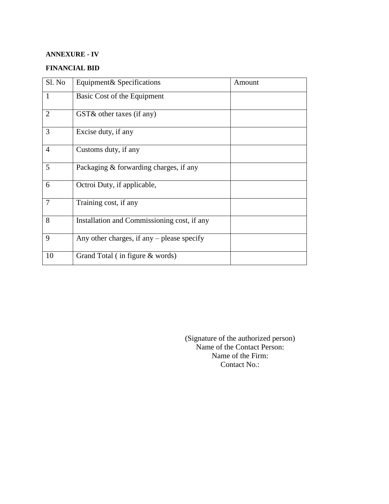## **ANNEXURE - IV**

## **FINANCIAL BID**

| Sl. No         | Equipment & Specifications                   | Amount |
|----------------|----------------------------------------------|--------|
| 1              | Basic Cost of the Equipment                  |        |
| $\overline{2}$ | $GST\&$ other taxes (if any)                 |        |
| 3              | Excise duty, if any                          |        |
| 4              | Customs duty, if any                         |        |
| 5              | Packaging & forwarding charges, if any       |        |
| 6              | Octroi Duty, if applicable,                  |        |
| $\overline{7}$ | Training cost, if any                        |        |
| 8              | Installation and Commissioning cost, if any  |        |
| 9              | Any other charges, if any $-$ please specify |        |
| 10             | Grand Total (in figure $&$ words)            |        |

(Signature of the authorized person) Name of the Contact Person: Name of the Firm: Contact No.: